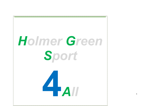

1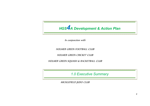

In conjunction with

HOLMER GREEN FOOTBALL CLUB

HOLMER GREEN CRICKET CLUB

HOLMER GREEN SQUASH & RACKETBALL CLUB

*1.0 Executive Summary*

MICKLEFIELD JUDO CLUB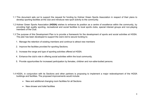- 1.1 This document sets out to support the request for funding by Holmer Green Sports Association in respect of their plans to develop sporting facilities at the club and introduce new sport activity to the community.
- 1.2 Holmer Green Sports Association **(HGSA)** wishes to enhance its position as a centre of excellence within the community, by providing high quality sporting, recreational and social facilities to local sports clubs, special interest groups and non-playing members of the Club.
- 1.3 The purpose of this Development Plan is to provide a framework for the development of sports and social activities at HGSA. The plan has been developed to support the club's bid to secure funding to;
	- 1. Manage the retention of existing members and continue to attract new members
	- 2. Improve the facilities provided for sporting Sections.
	- 3. Increase the range and type of sporting activities offered at HGSA.
	- 4. Enhance the club's role in offering social activities within the local community.
	- 5. Provide opportunities for increased participation by females, children and non-able-bodied persons.
- 1.4 HGSA, in conjunction with its Sections and other partners is proposing to implement a major redevelopment of the HGSA buildings and facilities. The proposed improvements would include:
	- New and additional changing room facilities for all Sections
	- New shower and toilet facilities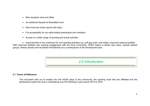- New reception area and office
- An additional Squash & Racketball court
- New multi-use indoor sports hall (dojo)
- Full accessibility for non-able-bodied participants and members
- Access to a wider range of sporting and social activities

• Improvements to the clubhouse for non-sporting activities e.g. soft play area, new toilets, improved catering facilities With improved facilities and ongoing engagement with the local community, HGSA hopes to attract new clubs, special interest groups, fitness classes and increased membership as a consequence of the development plan.



#### **2.1 Terms of Reference**

This document sets out to explain the role HGSA plays in the community, the sporting clubs that are affiliated and the development plans the club is undertaking over the following 3 year period 2014 to 2016.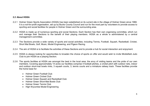## **2.2 About HGSA**

- 2.2.1 Holmer Green Sports Association (HGSA) has been established on its current site in the village of Holmer Green since 1968. It is a not-for-profit organisation, set up by Bucks County Council and run for the most part by volunteers to provide access to sporting and social facilities for people in Holmer Green and the surrounding area.
- 2.2.2 HGSA is made up of numerous sporting and social Sections. Each Section has their own organising committee, which run and manage their Sections to the benefit of their playing members. HGSA as a whole is administered by a central management committee.
- 2.2.3 The Sections provide a wide variety of sports and social activities; including Tennis, Football, Squash, Racketball, Cricket, Short Mat Bowls, Golf, Music, Model Engineering, and Pigeon Racing.
- 2.2.4 The aim of HGSA is to facilitate the activities of these Sections and to provide a hub for social interaction and enjoyment.
- 2.2.5 HGSA is always looking for opportunities to broaden the choice of sports on offer and would wish to invite Micklefield Judo Club to join HGSA as a playing Section.
- 2.2.6 The sports facilities at HGSA are amongst the best in the local area; the envy of visiting teams and the pride of our own members. Covering approximately 14 acres our facilities comprise 4 football pitches, a cricket pitch with outdoor nets, indoor and outdoor short-mat bowls rinks, 3 squash courts, 3, tennis courts and a miniature railway track. These facilities provide the home base for:
	- Holmer Green Football Club
	- Holmer Green Cricket Club
	- Holmer Green Squash and Racketball Club
	- Holmer Green Short-Mat Bowls Club
	- Holmer Green Tennis Club
	- High Wycombe Model Engineering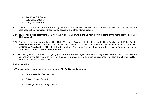- Red Kites Golf Society
- Columbarian Society
- Dusty's Music Club
- 2.2.7 The main bar and clubhouse are used by members for social activities and are available for private hire. The clubhouse is also used to host numerous fitness related sessions and other interest groups.
- 2.2.8 HGSA has a wide catchment area, from the villages and towns in the Chiltern district to some of the more deprived areas of High Wycombe.
- 2.2.9 There are areas of deprivation within High Wycombe. According to the Index of Multiple Deprivation (IMD 2010) High Wycombe wards has a ranking of 3 meaning these wards are in the 30% most deprived areas in England. In addition ACORN (A Classification of Residential Neighbourhoods) has identified neighbouring wards to Holmer Green of Hazlemere and Tylers Green as "**at risk of deprivation**".
- 2.2.10 A limiting factor in the club's ongoing growth is the **40** year aged facilities basically being tired and worn out. Gradual expansion of the facilities over the years has also put pressure on the main utilities, changing-room and shower facilities, which are now not fit-for-purpose.

### **2.3 Partnerships**

HGSA has involved partners for the development of its facilities and programmes:

- Little Missenden Parish Council
- Chiltern District Council
- Buckinghamshire County Council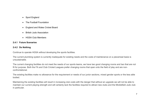- Sport England
- The Football Foundation
- England and Wales Cricket Board
- British Judo Association
- HGSA Club Members

#### **2.4.1 Future Scenarios**

#### **2.4.2 Do Nothing**

Continue to operate HGSA without developing the sports facilities.

The current plumbing system is currently inadequate for existing needs and the costs of maintenance on a piecemeal basis is unsustainable.

The current changing facilities do not meet the needs of our sports teams, we have two good changing rooms and two that are not fit for purpose. Both the FA and Club Cricket Leagues prefer changing rooms that open onto the field of play and are nonconfrontational.

The existing facilities make no allowance for the requirement or needs of our junior sections, mixed gender sports or the less able bodied.

Maintaining the existing facilities will result in increasing club costs with the danger that without an upgrade we will not be able to maintain our current playing strength and will certainly lack the facilities required to attract new clubs and the Micklefield Judo club in particular.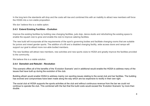In the long term the standards will drop and the costs will rise and combined this with an inability to attract new members will force the HGSA into a non-viable proposition.

We don' believe this is a viable option.

# **2.4.3 Extend Existing Facilities – Evolution**

Improve the existing facilities by building new changing facilities, judo dojo, dance studio and refurbishing the existing space to enable the squash club to grow and enable the club to improve catering facilities.

The new build will incorporate all the requirements of the sport's governing bodies and facilitate changing rooms that are suitable for juniors and mixed gender sports. The addition of a lift and a disabled changing facility, wide access doors and ramps will support our goal to attract more non-able bodied members.

The new facilities will attract new members, new activities and new sports clubs to HGSA and greatly improve the facilities provided to the community.

We believe this is a viable solution.

## **2.4.4 Demolish and Rebuild – Revolution**

This scenario offers all of the benefits of the 'Evolution Scenario' and in additional would enable the HGSA to address many of the issues that have built up during the evolution of the club.

Building afresh would enable HGSA to address mainly non sporting issues relating to the social club and bar facilities. The building has evolved and compromises have been made along the way which are too expensive to rectify in their own right.

The social club at HGSA supports the sports activities at the club and without continuous revenue from the bar we could not continue to operate the club. This combined with the fact that the build costs would exceed the 'Evolution Scenario' by more than double.